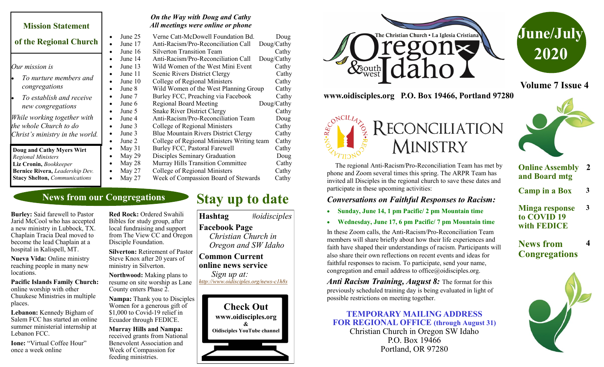#### **Mission Statement of the Regional Church** *Our mission is* • *To nurture members and congregations* • *To establish and receive new congregations While working together with the whole Church to do Christ's ministry in the world. On the Way with Doug and Cathy All meetings were online or phone* • June 25 Verne Catt-McDowell Foundation Bd. Doug • June 17 Anti-Racism/Pro-Reconciliation Call Doug/Cathy • June 16 Silverton Transition Team Cathy • June 14 Anti-Racism/Pro-Reconciliation Call Doug/Cathy • June 13 Wild Women of the West Mini Event Cathy • June 11 Scenic Rivers District Clergy Cathy • June 10 College of Regional Ministers Cathy • June 8 Wild Women of the West Planning Group Cathy • May 28 Murray Hills Transition Committee Cathy **Doug and Cathy Myers Wirt**  *Regional Ministers* **Liz Cronin,** *Bookkeeper* **Bernice Rivera,** *Leadership Dev.* **Stacy Shelton,** *Communications*

### **News from our Congregations**

**Burley:** Said farewell to Pastor Jarid McCool who has accepted a new ministry in Lubbock, TX. Chaplain Tracia Deal moved to become the lead Chaplain at a hospital in Kalispell, MT.

**Nueva Vida:** Online ministry reaching people in many new locations.

#### **Pacific Islands Family Church:**  online worship with other Chuukese Ministries in multiple places.

**Lebanon:** Kennedy Bigham of Salem FCC has started an online summer ministerial internship at Lebanon FCC.

**Ione:** "Virtual Coffee Hour" once a week online

**Red Rock:** Ordered Swahili Bibles for study group, after local fundraising and support from The View CC and Oregon Disciple Foundation.

**Silverton:** Retirement of Pastor Steve Knox after 20 years of ministry in Silverton.

**Northwood:** Making plans to resume on site worship as Lane County enters Phase 2.

**Nampa:** Thank you to Disciples Women for a generous gift of \$1,000 to Covid-19 relief in Ecuador through FEDICE.

**Murray Hills and Nampa:**  received grants from National Benevolent Association and Week of Compassion for feeding ministries.

#### • June 7 Burley FCC, Preaching via Facebook Cathy June 6 Regional Board Meeting Doug/Cathy • June 5 Snake River District Clergy Cathy

• June 4 Anti-Racism/Pro-Reconciliation Team Doug • June 3 College of Regional Ministers Cathy

- June 3 Blue Mountain Rivers District Clergy Cathy
- June 2 College of Regional Ministers Writing team Cathy
- May 31 Burley FCC, Pastoral Farewell Cathy
- May 29 Disciples Seminary Graduation Doug
	-
- May 27 College of Regional Ministers Cathy<br>• May 27 Week of Compassion Board of Stewards Cathy Week of Compassion Board of Stewards Cathy

# **Stay up to date**

**Hashtag** *#oidisciples* **Facebook Page**   *Christian Church in Oregon and SW Idaho*

#### **Common Current online news service** *Sign up at:*

*[http://www.oidisciples.org/news](http://www.oidisciples.org/news-c1h8s)-c1h8s*





**www.oidisciples.org P.O. Box 19466, Portland 97280**

RECONCILIATION



**Volume 7 Issue 4**

#### The regional Anti-Racism/Pro-Reconciliation Team has met by phone and Zoom several times this spring. The ARPR Team has invited all Disciples in the regional church to save these dates and participate in these upcoming activities:

**MINISTRY** 

### *Conversations on Faithful Responses to Racism:*

- **Sunday, June 14, 1 pm Pacific/ 2 pm Mountain time**
- **Wednesday, June 17, 6 pm Pacific/ 7 pm Mountain time**

In these Zoom calls, the Anti-Racism/Pro-Reconciliation Team members will share briefly about how their life experiences and faith have shaped their understandings of racism. Participants will also share their own reflections on recent events and ideas for faithful responses to racism. To participate, send your name, congregation and email address to office $@$ oidisciples.org.

*Anti Racism Training, August 8:* The format for this previously scheduled training day is being evaluated in light of possible restrictions on meeting together.

**TEMPORARY MAILING ADDRESS FOR REGIONAL OFFICE (through August 31)** Christian Church in Oregon SW Idaho

P.O. Box 19466 Portland, OR 97280



#### **Online Assembly 2 and Board mtg**

**Camp in a Box 3**

**Minga response to COVID 19 with FEDICE 3**

### **News from Congregations**

**4**